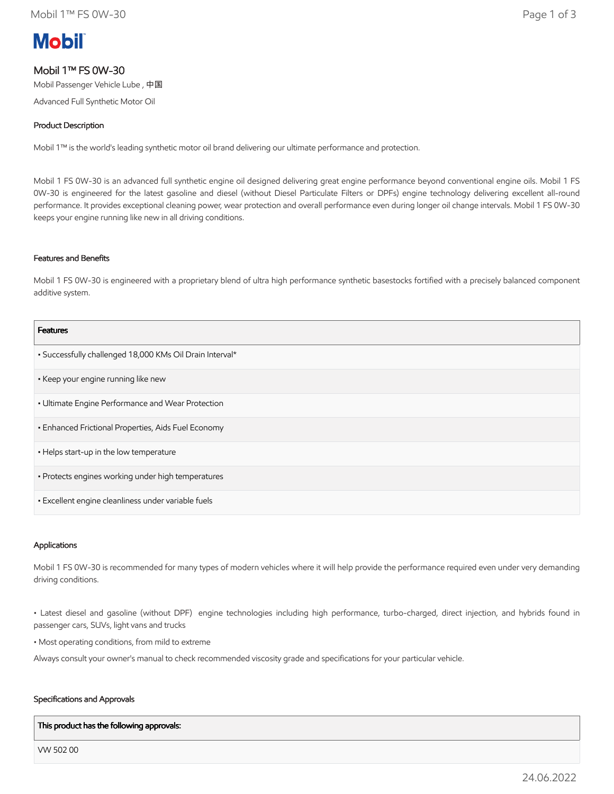# **Mobil**

## Mobil 1™ FS 0W-30

Mobil Passenger Vehicle Lube , 中国

Advanced Full Synthetic Motor Oil

## Product Description

Mobil 1™ is the world's leading synthetic motor oil brand delivering our ultimate performance and protection.

Mobil 1 FS 0W-30 is an advanced full synthetic engine oil designed delivering great engine performance beyond conventional engine oils. Mobil 1 FS 0W-30 is engineered for the latest gasoline and diesel (without Diesel Particulate Filters or DPFs) engine technology delivering excellent all-round performance. It provides exceptional cleaning power, wear protection and overall performance even during longer oil change intervals. Mobil 1 FS 0W-30 keeps your engine running like new in all driving conditions.

## Features and Benefits

Mobil 1 FS 0W-30 is engineered with a proprietary blend of ultra high performance synthetic basestocks fortified with a precisely balanced component additive system.

| <b>Features</b>                                          |
|----------------------------------------------------------|
| • Successfully challenged 18,000 KMs Oil Drain Interval* |
| • Keep your engine running like new                      |
| • Ultimate Engine Performance and Wear Protection        |
| • Enhanced Frictional Properties, Aids Fuel Economy      |
| • Helps start-up in the low temperature                  |
| · Protects engines working under high temperatures       |
| · Excellent engine cleanliness under variable fuels      |

## Applications

Mobil 1 FS 0W-30 is recommended for many types of modern vehicles where it will help provide the performance required even under very demanding driving conditions.

• Latest diesel and gasoline (without DPF) engine technologies including high performance, turbo-charged, direct injection, and hybrids found in passenger cars, SUVs, light vans and trucks

• Most operating conditions, from mild to extreme

Always consult your owner's manual to check recommended viscosity grade and specifications for your particular vehicle.

## Specifications and Approvals

#### This product has the following approvals:

VW 502 00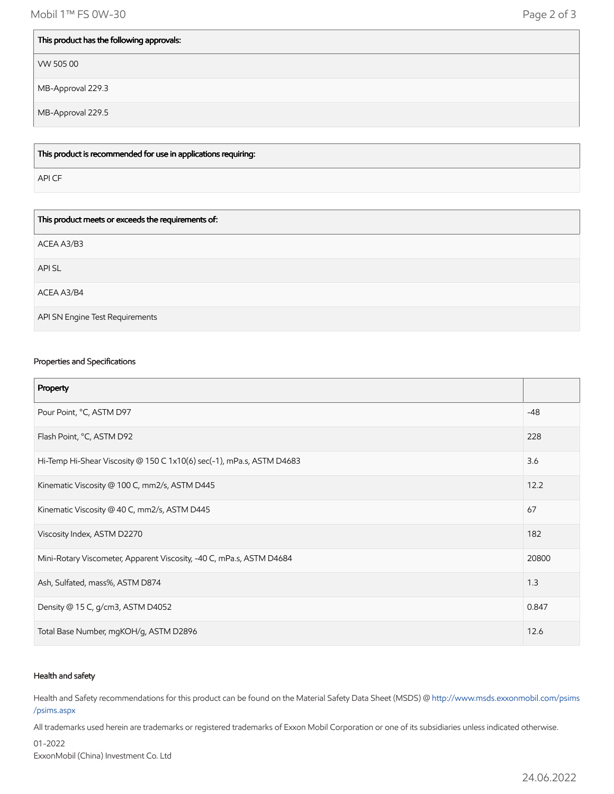Mobil 1™ FS 0W-30 Page 2 of 3

## This product has the following approvals:

VW 505 00

MB-Approval 229.3

MB-Approval 229.5

This product is recommended for use in applications requiring:

API CF

| This product meets or exceeds the requirements of: |
|----------------------------------------------------|
| ACEA A3/B3                                         |
| API SL                                             |
| ACEA A3/B4                                         |
| API SN Engine Test Requirements                    |

## Properties and Specifications

| Property                                                              |       |
|-----------------------------------------------------------------------|-------|
| Pour Point, °C, ASTM D97                                              | $-48$ |
| Flash Point, °C, ASTM D92                                             | 228   |
| Hi-Temp Hi-Shear Viscosity @ 150 C 1x10(6) sec(-1), mPa.s, ASTM D4683 | 3.6   |
| Kinematic Viscosity @ 100 C, mm2/s, ASTM D445                         | 12.2  |
| Kinematic Viscosity @ 40 C, mm2/s, ASTM D445                          | 67    |
| Viscosity Index, ASTM D2270                                           | 182   |
| Mini-Rotary Viscometer, Apparent Viscosity, -40 C, mPa.s, ASTM D4684  | 20800 |
| Ash, Sulfated, mass%, ASTM D874                                       | 1.3   |
| Density @ 15 C, g/cm3, ASTM D4052                                     | 0.847 |
| Total Base Number, mgKOH/g, ASTM D2896                                | 12.6  |

## Health and safety

Health and Safety recommendations for this product can be found on the Material Safety Data Sheet (MSDS) @ [http://www.msds.exxonmobil.com/psims](http://www.msds.exxonmobil.com/psims/psims.aspx) /psims.aspx

All trademarks used herein are trademarks or registered trademarks of Exxon Mobil Corporation or one of its subsidiaries unless indicated otherwise.

01-2022 ExxonMobil (China) Investment Co. Ltd